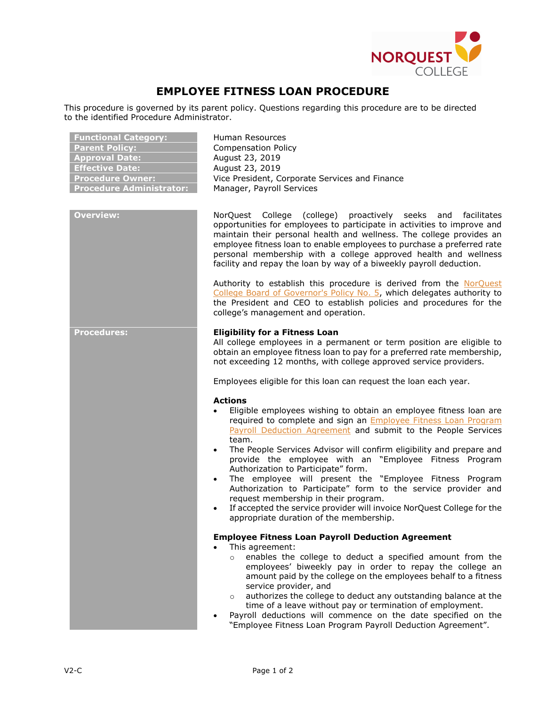

## **EMPLOYEE FITNESS LOAN PROCEDURE**

This procedure is governed by its parent policy. Questions regarding this procedure are to be directed to the identified Procedure Administrator.

| <b>Functional Category:</b><br><b>Parent Policy:</b><br><b>Approval Date:</b><br><b>Effective Date:</b><br><b>Procedure Owner:</b><br><b>Procedure Administrator:</b> | Human Resources<br><b>Compensation Policy</b><br>August 23, 2019<br>August 23, 2019<br>Vice President, Corporate Services and Finance<br>Manager, Payroll Services                                                                                                                                                                                                                                                                                                                                                                                                                                                                                                                                                                               |
|-----------------------------------------------------------------------------------------------------------------------------------------------------------------------|--------------------------------------------------------------------------------------------------------------------------------------------------------------------------------------------------------------------------------------------------------------------------------------------------------------------------------------------------------------------------------------------------------------------------------------------------------------------------------------------------------------------------------------------------------------------------------------------------------------------------------------------------------------------------------------------------------------------------------------------------|
| <b>Overview:</b>                                                                                                                                                      | NorQuest College<br>(college)<br>proactively seeks and<br>facilitates<br>opportunities for employees to participate in activities to improve and<br>maintain their personal health and wellness. The college provides an<br>employee fitness loan to enable employees to purchase a preferred rate<br>personal membership with a college approved health and wellness<br>facility and repay the loan by way of a biweekly payroll deduction.                                                                                                                                                                                                                                                                                                     |
|                                                                                                                                                                       | Authority to establish this procedure is derived from the NorQuest<br>College Board of Governor's Policy No. 5, which delegates authority to<br>the President and CEO to establish policies and procedures for the<br>college's management and operation.                                                                                                                                                                                                                                                                                                                                                                                                                                                                                        |
| <b>Procedures:</b>                                                                                                                                                    | <b>Eligibility for a Fitness Loan</b><br>All college employees in a permanent or term position are eligible to<br>obtain an employee fitness loan to pay for a preferred rate membership,<br>not exceeding 12 months, with college approved service providers.<br>Employees eligible for this loan can request the loan each year.                                                                                                                                                                                                                                                                                                                                                                                                               |
|                                                                                                                                                                       | <b>Actions</b><br>Eligible employees wishing to obtain an employee fitness loan are<br>required to complete and sign an <b>Employee Fitness Loan Program</b><br>Payroll Deduction Agreement and submit to the People Services<br>team.<br>The People Services Advisor will confirm eligibility and prepare and<br>$\bullet$<br>provide the employee with an "Employee Fitness Program<br>Authorization to Participate" form.<br>The employee will present the "Employee Fitness Program<br>$\bullet$<br>Authorization to Participate" form to the service provider and<br>request membership in their program.<br>If accepted the service provider will invoice NorQuest College for the<br>$\bullet$<br>appropriate duration of the membership. |
|                                                                                                                                                                       | <b>Employee Fitness Loan Payroll Deduction Agreement</b><br>This agreement:<br>enables the college to deduct a specified amount from the<br>$\circ$<br>employees' biweekly pay in order to repay the college an<br>amount paid by the college on the employees behalf to a fitness<br>service provider, and<br>authorizes the college to deduct any outstanding balance at the<br>$\circ$<br>time of a leave without pay or termination of employment.<br>Payroll deductions will commence on the date specified on the<br>$\bullet$<br>"Employee Fitness Loan Program Payroll Deduction Agreement".                                                                                                                                             |